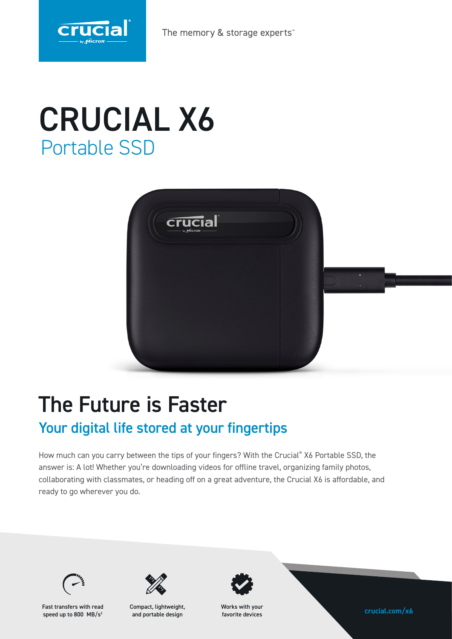

The memory & storage experts

# CRUCIAL X6 Portable SSD



## The Future is Faster

### Your digital life stored at your fingertips

How much can you carry between the tips of your fingers? With the Crucial® X6 Portable SSD, the answer is: A lot! Whether you're downloading videos for offline travel, organizing family photos, collaborating with classmates, or heading off on a great adventure, the Crucial X6 is affordable, and ready to go wherever you do.



Fast transfers with read compact, lightweight, Works with your<br>speed up to 800, MR/s<sup>2</sup> and portable design favorite devices and **contable the set of the set of the set of the contable design** speed up to 800 MB/s<sup>2</sup>



Compact, lightweight, and portable design



Works with your favorite devices